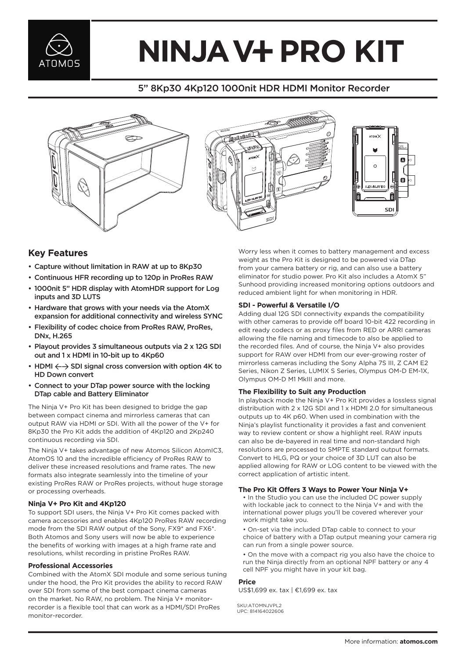

# **NINJA V+ PRO KIT**

## 5" 8Kp30 4Kp120 1000nit HDR HDMI Monitor Recorder







### **Key Features**

- Capture without limitation in RAW at up to 8Kp30
- Continuous HFR recording up to 120p in ProRes RAW
- 1000nit 5" HDR display with AtomHDR support for Log inputs and 3D LUTS
- Hardware that grows with your needs via the AtomX expansion for additional connectivity and wireless SYNC
- Flexibility of codec choice from ProRes RAW, ProRes, DNx, H.265
- Playout provides 3 simultaneous outputs via 2 x 12G SDI out and 1 x HDMI in 10-bit up to 4Kp60
- HDMI  $\leftarrow$  SDI signal cross conversion with option 4K to HD Down convert
- Connect to your DTap power source with the locking DTap cable and Battery Eliminator

The Ninja V+ Pro Kit has been designed to bridge the gap between compact cinema and mirrorless cameras that can output RAW via HDMI or SDI. With all the power of the V+ for 8Kp30 the Pro Kit adds the addition of 4Kp120 and 2Kp240 continuous recording via SDI.

The Ninja V+ takes advantage of new Atomos Silicon AtomIC3, AtomOS 10 and the incredible efficiency of ProRes RAW to deliver these increased resolutions and frame rates. The new formats also integrate seamlessly into the timeline of your existing ProRes RAW or ProRes projects, without huge storage or processing overheads.

#### **Ninja V+ Pro Kit and 4Kp120**

To support SDI users, the Ninja V+ Pro Kit comes packed with camera accessories and enables 4Kp120 ProRes RAW recording mode from the SDI RAW output of the Sony, FX9\* and FX6\*. Both Atomos and Sony users will now be able to experience the benefits of working with images at a high frame rate and resolutions, whilst recording in pristine ProRes RAW.

#### **Professional Accessories**

Combined with the AtomX SDI module and some serious tuning under the hood, the Pro Kit provides the ability to record RAW over SDI from some of the best compact cinema cameras on the market. No RAW, no problem. The Ninja V+ monitorrecorder is a flexible tool that can work as a HDMI/SDI ProRes monitor-recorder.

Worry less when it comes to battery management and excess weight as the Pro Kit is designed to be powered via DTap from your camera battery or rig, and can also use a battery eliminator for studio power. Pro Kit also includes a AtomX 5" Sunhood providing increased monitoring options outdoors and reduced ambient light for when monitoring in HDR.

#### **SDI - Powerful & Versatile I/O**

Adding dual 12G SDI connectivity expands the compatibility with other cameras to provide off board 10-bit 422 recording in edit ready codecs or as proxy files from RED or ARRI cameras allowing the file naming and timecode to also be applied to the recorded files. And of course, the Ninja V+ also provides support for RAW over HDMI from our ever-growing roster of mirrorless cameras including the Sony Alpha 7S III, Z CAM E2 Series, Nikon Z Series, LUMIX S Series, Olympus OM-D EM-1X, Olympus OM-D M1 MkIII and more.

#### **The Flexibility to Suit any Production**

In playback mode the Ninja V+ Pro Kit provides a lossless signal distribution with 2 x 12G SDI and 1 x HDMI 2.0 for simultaneous outputs up to 4K p60. When used in combination with the Ninja's playlist functionality it provides a fast and convenient way to review content or show a highlight reel. RAW inputs can also be de-bayered in real time and non-standard high resolutions are processed to SMPTE standard output formats. Convert to HLG, PQ or your choice of 3D LUT can also be applied allowing for RAW or LOG content to be viewed with the correct application of artistic intent.

#### **The Pro Kit Offers 3 Ways to Power Your Ninja V+**

• In the Studio you can use the included DC power supply with lockable jack to connect to the Ninja V+ and with the international power plugs you'll be covered wherever your work might take you.

- On-set via the included DTap cable to connect to your choice of battery with a DTap output meaning your camera rig can run from a single power source.
- On the move with a compact rig you also have the choice to run the Ninja directly from an optional NPF battery or any 4 cell NPF you might have in your kit bag.

#### **Price**

US\$1,699 ex. tax | €1,699 ex. tax

SKII: ATOMN IVPL2 UPC: 814164022606